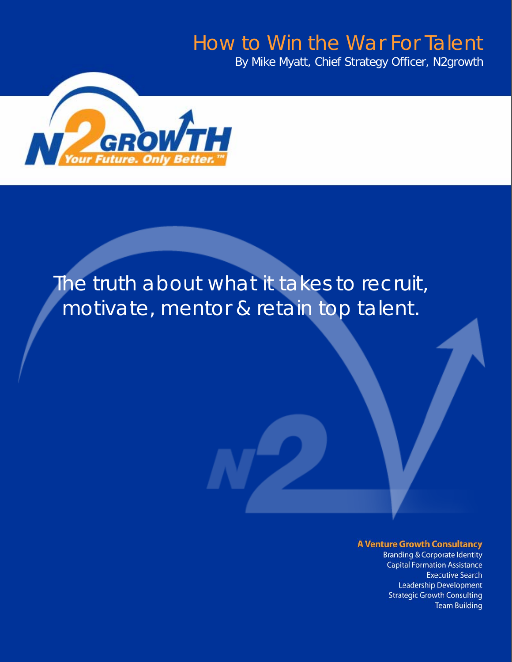## How to Win the War For Talent

By Mike Myatt, Chief Strategy Officer, N2growth



## The truth about what it takes to recruit, motivate, mentor & retain top talent.

## **A Venture Growth Consultancy**

**Branding & Corporate Identity Capital Formation Assistance Executive Search Leadership Development Strategic Growth Consulting Team Building**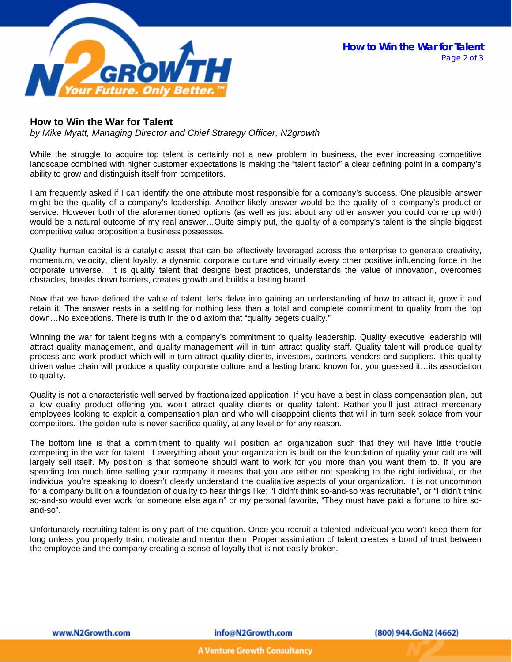

## **How to Win the War for Talent**

*by Mike Myatt, Managing Director and Chief Strategy Officer, N2growth* 

While the struggle to acquire top talent is certainly not a new problem in business, the ever increasing competitive landscape combined with higher customer expectations is making the "talent factor" a clear defining point in a company's ability to grow and distinguish itself from competitors.

I am frequently asked if I can identify the one attribute most responsible for a company's success. One plausible answer might be the quality of a company's leadership. Another likely answer would be the quality of a company's product or service. However both of the aforementioned options (as well as just about any other answer you could come up with) would be a natural outcome of my real answer…Quite simply put, the quality of a company's talent is the single biggest competitive value proposition a business possesses.

Quality human capital is a catalytic asset that can be effectively leveraged across the enterprise to generate creativity, momentum, velocity, client loyalty, a dynamic corporate culture and virtually every other positive influencing force in the corporate universe. It is quality talent that designs best practices, understands the value of innovation, overcomes obstacles, breaks down barriers, creates growth and builds a lasting brand.

Now that we have defined the value of talent, let's delve into gaining an understanding of how to attract it, grow it and retain it. The answer rests in a settling for nothing less than a total and complete commitment to quality from the top down…No exceptions. There is truth in the old axiom that "quality begets quality."

Winning the war for talent begins with a company's commitment to quality leadership. Quality executive leadership will attract quality management, and quality management will in turn attract quality staff. Quality talent will produce quality process and work product which will in turn attract quality clients, investors, partners, vendors and suppliers. This quality driven value chain will produce a quality corporate culture and a lasting brand known for, you guessed it…its association to quality.

Quality is not a characteristic well served by fractionalized application. If you have a best in class compensation plan, but a low quality product offering you won't attract quality clients or quality talent. Rather you'll just attract mercenary employees looking to exploit a compensation plan and who will disappoint clients that will in turn seek solace from your competitors. The golden rule is never sacrifice quality, at any level or for any reason.

The bottom line is that a commitment to quality will position an organization such that they will have little trouble competing in the war for talent. If everything about your organization is built on the foundation of quality your culture will largely sell itself. My position is that someone should want to work for you more than you want them to. If you are spending too much time selling your company it means that you are either not speaking to the right individual, or the individual you're speaking to doesn't clearly understand the qualitative aspects of your organization. It is not uncommon for a company built on a foundation of quality to hear things like; "I didn't think so-and-so was recruitable", or "I didn't think so-and-so would ever work for someone else again" or my personal favorite, "They must have paid a fortune to hire soand-so".

Unfortunately recruiting talent is only part of the equation. Once you recruit a talented individual you won't keep them for long unless you properly train, motivate and mentor them. Proper assimilation of talent creates a bond of trust between the employee and the company creating a sense of loyalty that is not easily broken.

www.N2Growth.com

info@N2Growth.com

(800) 944.GoN2 (4662)